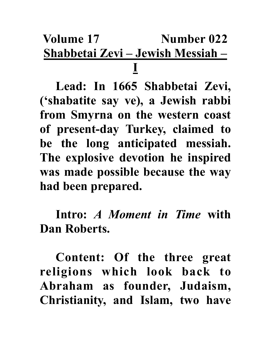## **Volume 17** Number 022 **Shabbetai Zevi – Jewish Messiah – I**

**Lead: In 1665 Shabbetai Zevi, ('shabatite say ve), a Jewish rabbi from Smyrna on the western coast of present-day Turkey, claimed to be the long anticipated messiah. The explosive devotion he inspired was made possible because the way had been prepared.**

**Intro:** *A Moment in Time* **with Dan Roberts.**

**Content: Of the three great religions which look back to Abraham as founder, Judaism, Christianity, and Islam, two have**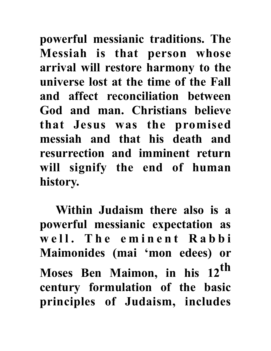**powerful messianic traditions. The Messiah is that person whose arrival will restore harmony to the universe lost at the time of the Fall and affect reconciliation between God and man. Christians believe that Jesus was the promised messiah and that his death and resurrection and imminent return will signify the end of human history.** 

**Within Judaism there also is a powerful messianic expectation as**  well. The eminent Rabbi **Maimonides (mai 'mon edees) or Moses Ben Maimon, in his 12th century formulation of the basic principles of Judaism, includes**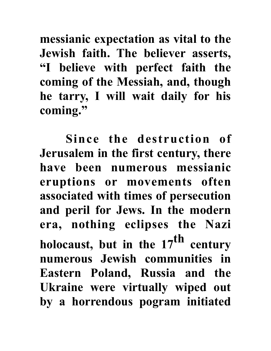**messianic expectation as vital to the Jewish faith. The believer asserts, "I believe with perfect faith the coming of the Messiah, and, though he tarry, I will wait daily for his coming."** 

 **Since the destruction of Jerusalem in the first century, there have been numerous messianic eruptions or movements often associated with times of persecution and peril for Jews. In the modern era, nothing eclipses the Nazi holocaust, but in the 17th century numerous Jewish communities in Eastern Poland, Russia and the Ukraine were virtually wiped out by a horrendous pogram initiated**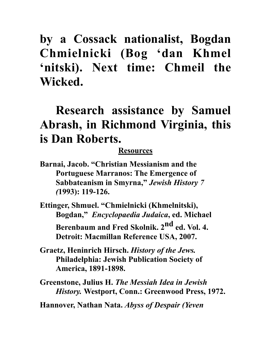**by a Cossack nationalist, Bogdan Chmielnicki (Bog 'dan Khmel 'nitski). Next time: Chmeil the Wicked.**

## **Research assistance by Samuel Abrash, in Richmond Virginia, this is Dan Roberts.**

## **Resources**

**Barnai, Jacob. "Christian Messianism and the Portuguese Marranos: The Emergence of Sabbateanism in Smyrna,"** *Jewish History 7 (***1993): 119-126.** 

**Ettinger, Shmuel. "Chmielnicki (Khmelnitski), Bogdan,"** *Encyclopaedia Judaica***, ed. Michael**  Berenbaum and Fred Skolnik. 2<sup>nd</sup> ed. Vol. 4. **Detroit: Macmillan Reference USA, 2007.**

- **Graetz, Heninrich Hirsch.** *History of the Jews.*  **Philadelphia: Jewish Publication Society of America, 1891-1898.**
- **Greenstone, Julius H.** *The Messiah Idea in Jewish History.* **Westport, Conn.: Greenwood Press, 1972.**

**Hannover, Nathan Nata.** *Abyss of Despair (Yeven*